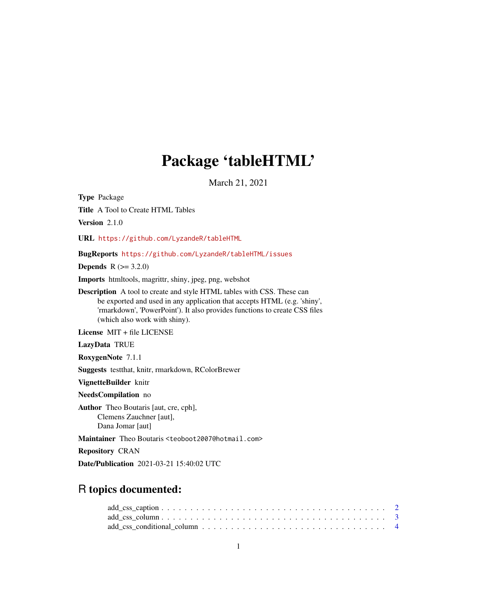# Package 'tableHTML'

March 21, 2021

<span id="page-0-0"></span>Type Package Title A Tool to Create HTML Tables Version 2.1.0

URL <https://github.com/LyzandeR/tableHTML>

BugReports <https://github.com/LyzandeR/tableHTML/issues>

**Depends** R  $(>= 3.2.0)$ 

Imports htmltools, magrittr, shiny, jpeg, png, webshot

Description A tool to create and style HTML tables with CSS. These can be exported and used in any application that accepts HTML (e.g. 'shiny', 'rmarkdown', 'PowerPoint'). It also provides functions to create CSS files (which also work with shiny).

License MIT + file LICENSE

LazyData TRUE

RoxygenNote 7.1.1

Suggests testthat, knitr, rmarkdown, RColorBrewer

VignetteBuilder knitr

NeedsCompilation no

Author Theo Boutaris [aut, cre, cph], Clemens Zauchner [aut], Dana Jomar [aut]

Maintainer Theo Boutaris <teoboot2007@hotmail.com>

Repository CRAN

Date/Publication 2021-03-21 15:40:02 UTC

# R topics documented:

| $add\_ess\_caption 2$ |  |  |  |  |  |  |  |  |  |  |  |  |  |  |  |
|-----------------------|--|--|--|--|--|--|--|--|--|--|--|--|--|--|--|
|                       |  |  |  |  |  |  |  |  |  |  |  |  |  |  |  |
|                       |  |  |  |  |  |  |  |  |  |  |  |  |  |  |  |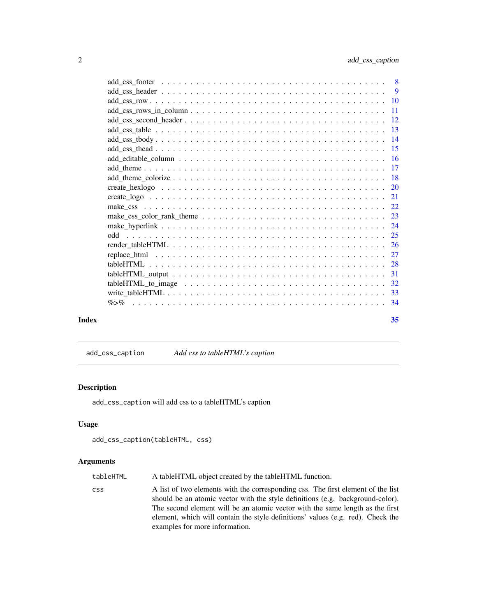<span id="page-1-0"></span>

|       | $add\_editable\_column \dots \dots \dots \dots \dots \dots \dots \dots \dots \dots \dots \dots \dots \dots \dots \dots \dots$ |    |
|-------|-------------------------------------------------------------------------------------------------------------------------------|----|
|       |                                                                                                                               |    |
|       |                                                                                                                               |    |
|       |                                                                                                                               |    |
|       |                                                                                                                               |    |
|       |                                                                                                                               |    |
|       |                                                                                                                               |    |
|       |                                                                                                                               |    |
|       |                                                                                                                               |    |
|       |                                                                                                                               |    |
|       |                                                                                                                               |    |
|       |                                                                                                                               |    |
|       |                                                                                                                               |    |
|       |                                                                                                                               |    |
|       |                                                                                                                               |    |
|       | $\% > \%$                                                                                                                     |    |
| Index |                                                                                                                               | 35 |

add\_css\_caption *Add css to tableHTML's caption*

# Description

add\_css\_caption will add css to a tableHTML's caption

# Usage

```
add_css_caption(tableHTML, css)
```
# Arguments

| tableHTML | A tableHTML object created by the tableHTML function.                                                                                                                                                                                                                                                                                                                    |
|-----------|--------------------------------------------------------------------------------------------------------------------------------------------------------------------------------------------------------------------------------------------------------------------------------------------------------------------------------------------------------------------------|
| css.      | A list of two elements with the corresponding css. The first element of the list<br>should be an atomic vector with the style definitions (e.g. background-color).<br>The second element will be an atomic vector with the same length as the first<br>element, which will contain the style definitions' values (e.g. red). Check the<br>examples for more information. |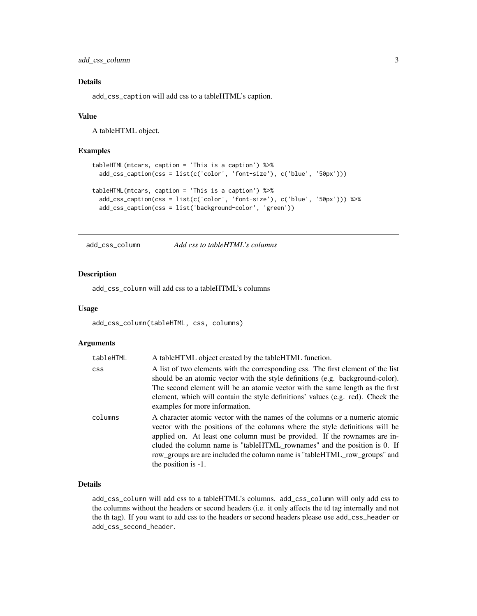<span id="page-2-0"></span>add\_css\_column 3

# Details

add\_css\_caption will add css to a tableHTML's caption.

#### Value

A tableHTML object.

#### Examples

```
tableHTML(mtcars, caption = 'This is a caption') %>%
 add_css_caption(css = list(c('color', 'font-size'), c('blue', '50px')))
tableHTML(mtcars, caption = 'This is a caption') %>%
 add_css_caption(css = list(c('color', 'font-size'), c('blue', '50px'))) %>%
 add_css_caption(css = list('background-color', 'green'))
```
add\_css\_column *Add css to tableHTML's columns*

# Description

add\_css\_column will add css to a tableHTML's columns

#### Usage

add\_css\_column(tableHTML, css, columns)

#### Arguments

| tableHTML  | A tableHTML object created by the tableHTML function.                                                                                                                                                                                                                                                                                                                                                                       |
|------------|-----------------------------------------------------------------------------------------------------------------------------------------------------------------------------------------------------------------------------------------------------------------------------------------------------------------------------------------------------------------------------------------------------------------------------|
| <b>CSS</b> | A list of two elements with the corresponding css. The first element of the list<br>should be an atomic vector with the style definitions (e.g. background-color).<br>The second element will be an atomic vector with the same length as the first<br>element, which will contain the style definitions' values (e.g. red). Check the<br>examples for more information.                                                    |
| columns    | A character atomic vector with the names of the columns or a numeric atomic<br>vector with the positions of the columns where the style definitions will be<br>applied on. At least one column must be provided. If the rownames are in-<br>cluded the column name is "tableHTML_rownames" and the position is 0. If<br>row_groups are are included the column name is "tableHTML_row_groups" and<br>the position is $-1$ . |

# Details

add\_css\_column will add css to a tableHTML's columns. add\_css\_column will only add css to the columns without the headers or second headers (i.e. it only affects the td tag internally and not the th tag). If you want to add css to the headers or second headers please use add\_css\_header or add\_css\_second\_header.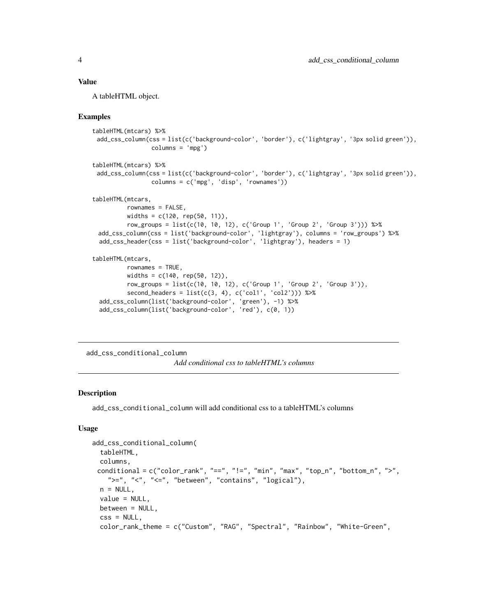#### <span id="page-3-0"></span>Value

A tableHTML object.

#### Examples

```
tableHTML(mtcars) %>%
 add_css_column(css = list(c('background-color', 'border'), c('lightgray', '3px solid green')),
                 column = 'mpg')tableHTML(mtcars) %>%
 add_css_column(css = list(c('background-color', 'border'), c('lightgray', '3px solid green')),
                 columns = c('mpg', 'disp', 'rownames'))
tableHTML(mtcars,
         rownames = FALSE,
         widths = c(120, rep(50, 11)),row_groups = list(c(10, 10, 12), c('Group 1', 'Group 2', 'Group 3'))) %>%
 add_css_column(css = list('background-color', 'lightgray'), columns = 'row_groups') %>%
 add_css_header(css = list('background-color', 'lightgray'), headers = 1)
tableHTML(mtcars,
         rownames = TRUE,
         widths = c(140, rep(50, 12)),row_groups = list(c(10, 10, 12), c('Group 1', 'Group 2', 'Group 3')),
         second_headers = list(c(3, 4), c('coll', 'col2')) %>%
 add_css_column(list('background-color', 'green'), -1) %>%
 add_css_column(list('background-color', 'red'), c(0, 1))
```

```
add_css_conditional_column
```
*Add conditional css to tableHTML's columns*

#### Description

add\_css\_conditional\_column will add conditional css to a tableHTML's columns

#### Usage

```
add_css_conditional_column(
  tableHTML,
 columns,
 conditional = c("color\_rank", "==", "!=", "min", "max", "top_n", "bottom_n", ">>",">=", "lt", "lt=", "between", "contains", "logical"),
 n = NULL.
 value = NULL,
 between = NULL,
  \text{css} = \text{NULL},
  color_rank_theme = c("Custom", "RAG", "Spectral", "Rainbow", "White-Green",
```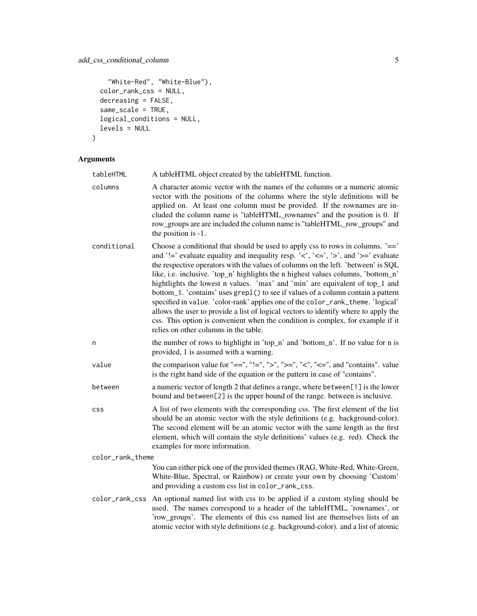# add\_css\_conditional\_column 5

```
"White-Red", "White-Blue"),
color_rank_css = NULL,
decreasing = FALSE,
same_scale = TRUE,
logical_conditions = NULL,
levels = NULL
```

```
\mathcal{L}
```
# Arguments

| tableHTML        | A tableHTML object created by the tableHTML function.                                                                                                                                                                                                                                                                                                                                                                                                                                                                                                                                                                                                                                                                                                                                                                                  |
|------------------|----------------------------------------------------------------------------------------------------------------------------------------------------------------------------------------------------------------------------------------------------------------------------------------------------------------------------------------------------------------------------------------------------------------------------------------------------------------------------------------------------------------------------------------------------------------------------------------------------------------------------------------------------------------------------------------------------------------------------------------------------------------------------------------------------------------------------------------|
| columns          | A character atomic vector with the names of the columns or a numeric atomic<br>vector with the positions of the columns where the style definitions will be<br>applied on. At least one column must be provided. If the rownames are in-<br>cluded the column name is "tableHTML_rownames" and the position is 0. If<br>row_groups are are included the column name is "tableHTML_row_groups" and<br>the position is -1.                                                                                                                                                                                                                                                                                                                                                                                                               |
| conditional      | Choose a conditional that should be used to apply css to rows in columns. $\equiv$ = $\equiv$<br>and '!=' evaluate equality and inequality resp. '<', '<=', '>', and '>=' evaluate<br>the respective operators with the values of columns on the left. 'between' is SQL<br>like, i.e. inclusive. 'top_n' highlights the n highest values columns, 'bottom_n'<br>hightlights the lowest n values. 'max' and 'min' are equivalent of top_1 and<br>bottom_1. 'contains' uses grep1() to see if values of a column contain a pattern<br>specified in value. 'color-rank' applies one of the color_rank_theme. 'logical'<br>allows the user to provide a list of logical vectors to identify where to apply the<br>css. This option is convenient when the condition is complex, for example if it<br>relies on other columns in the table. |
| n                | the number of rows to highlight in 'top_n' and 'bottom_n'. If no value for n is<br>provided, 1 is assumed with a warning.                                                                                                                                                                                                                                                                                                                                                                                                                                                                                                                                                                                                                                                                                                              |
| value            | the comparison value for "==", "!=", ">", ">=", "<", "<=", and "contains". value<br>is the right hand side of the equation or the pattern in case of "contains".                                                                                                                                                                                                                                                                                                                                                                                                                                                                                                                                                                                                                                                                       |
| between          | a numeric vector of length 2 that defines a range, where between[1] is the lower<br>bound and between[2] is the upper bound of the range. between is inclusive.                                                                                                                                                                                                                                                                                                                                                                                                                                                                                                                                                                                                                                                                        |
| <b>CSS</b>       | A list of two elements with the corresponding css. The first element of the list<br>should be an atomic vector with the style definitions (e.g. background-color).<br>The second element will be an atomic vector with the same length as the first<br>element, which will contain the style definitions' values (e.g. red). Check the<br>examples for more information.                                                                                                                                                                                                                                                                                                                                                                                                                                                               |
| color_rank_theme |                                                                                                                                                                                                                                                                                                                                                                                                                                                                                                                                                                                                                                                                                                                                                                                                                                        |
|                  | You can either pick one of the provided themes (RAG, White-Red, White-Green,<br>White-Blue, Spectral, or Rainbow) or create your own by choosing 'Custom'<br>and providing a custom css list in color_rank_css.                                                                                                                                                                                                                                                                                                                                                                                                                                                                                                                                                                                                                        |
| color_rank_css   | An optional named list with css to be applied if a custom styling should be<br>used. The names correspond to a header of the tableHTML, 'rownames', or<br>'row_groups'. The elements of this css named list are themselves lists of an<br>atomic vector with style definitions (e.g. background-color). and a list of atomic                                                                                                                                                                                                                                                                                                                                                                                                                                                                                                           |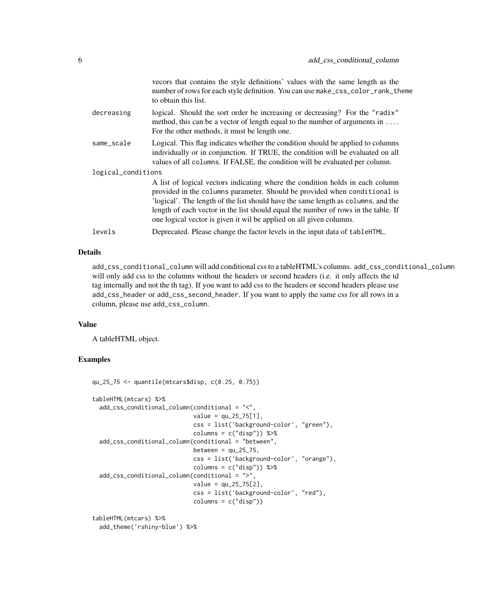|                    | vecors that contains the style definitions' values with the same length as the<br>number of rows for each style definition. You can use make_css_color_rank_theme<br>to obtain this list.                                                                                                                                                                                                                    |
|--------------------|--------------------------------------------------------------------------------------------------------------------------------------------------------------------------------------------------------------------------------------------------------------------------------------------------------------------------------------------------------------------------------------------------------------|
| decreasing         | logical. Should the sort order be increasing or decreasing? For the "radix"<br>method, this can be a vector of length equal to the number of arguments in<br>For the other methods, it must be length one.                                                                                                                                                                                                   |
| same_scale         | Logical. This flag indicates whether the condition should be applied to columns<br>individually or in conjunction. If TRUE, the condition will be evaluated on all<br>values of all columns. If FALSE, the condition will be evaluated per column.                                                                                                                                                           |
| logical_conditions |                                                                                                                                                                                                                                                                                                                                                                                                              |
|                    | A list of logical vectors indicating where the condition holds in each column<br>provided in the columns parameter. Should be provided when conditional is<br>'logical'. The length of the list should have the same length as columns, and the<br>length of each vector in the list should equal the number of rows in the table. If<br>one logical vector is given it wil be applied on all given columns. |
| levels             | Deprecated. Please change the factor levels in the input data of tableHTML.                                                                                                                                                                                                                                                                                                                                  |
|                    |                                                                                                                                                                                                                                                                                                                                                                                                              |

# Details

add\_css\_conditional\_column will add conditional css to a tableHTML's columns. add\_css\_conditional\_column will only add css to the columns without the headers or second headers (i.e. it only affects the td tag internally and not the th tag). If you want to add css to the headers or second headers please use add\_css\_header or add\_css\_second\_header. If you want to apply the same css for all rows in a column, please use add\_css\_column.

#### Value

A tableHTML object.

# Examples

```
qu_25_75 <- quantile(mtcars$disp, c(0.25, 0.75))
tableHTML(mtcars) %>%
  add_css_conditional_column(conditional = "<",
                             value = qu_25_75[1],
                             css = list('background-color', "green"),
                             columns = c("disp")) %>%
  add_css_conditional_column(conditional = "between",
                             between = qu_{25-75},
                             css = list('background-color', "orange"),
                             columns = c("disp")) %>%
  add_css_conditional_column(conditional = ">",
                             value = qu_25_75[2],
                             css = list('background-color', "red"),
                             column = c("disp"))tableHTML(mtcars) %>%
```
add\_theme('rshiny-blue') %>%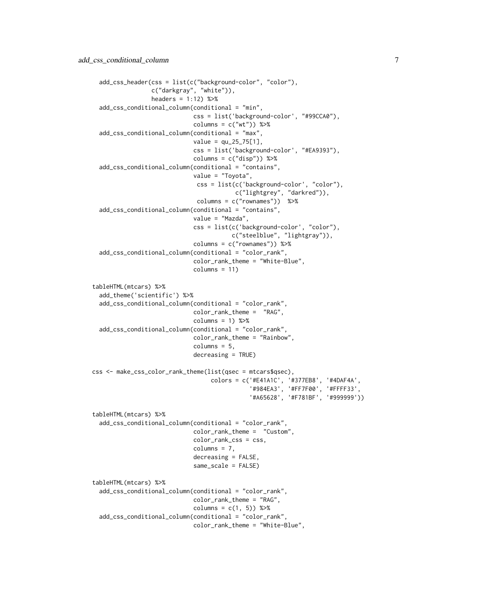```
add_css_header(css = list(c("background-color", "color"),
                 c("darkgray", "white")),
                 headers = 1:12) %>%
 add_css_conditional_column(conditional = "min",
                             css = list('background-color', "#99CCA0"),
                             columns = c("wt")) %>%
 add_css_conditional_column(conditional = "max",
                             value = qu_25_75[1],css = list('background-color', "#EA9393"),
                             columns = c("disp")) %>%
 add_css_conditional_column(conditional = "contains",
                             value = "Toyota",
                              css = list(c('background-color', "color"),
                                        c("lightgrey", "darkred")),
                              columns = c("rownames")) %>%
 add_css_conditional_column(conditional = "contains",
                             value = "Mazda",
                             css = list(c('background-color', "color"),
                                       c("steelblue", "lightgray")),
                             columns = c("rownames")) %>%
 add_css_conditional_column(conditional = "color_rank",
                             color_rank_theme = "White-Blue",
                             columns = 11)tableHTML(mtcars) %>%
  add_theme('scientific') %>%
 add_css_conditional_column(conditional = "color_rank",
                             color_rank_theme = "RAG",
                             columns = 1) %add_css_conditional_column(conditional = "color_rank",
                             color_rank_theme = "Rainbow",
                             column = 5,decreasing = TRUE)
css <- make_css_color_rank_theme(list(qsec = mtcars$qsec),
                                  colors = c('#E41A1C', '#377EB8', '#4DAF4A',
                                             '#984EA3', '#FF7F00', '#FFFF33',
                                             '#A65628', '#F781BF', '#999999'))
tableHTML(mtcars) %>%
 add_css_conditional_column(conditional = "color_rank",
                             color_rank_theme = "Custom",
                             color_rank_css = css,
                             columns = 7,decreasing = FALSE,
                             same_scale = FALSE)
tableHTML(mtcars) %>%
 add_css_conditional_column(conditional = "color_rank",
                            color_rank_theme = "RAG",
                             columns = c(1, 5)) %>%
  add_css_conditional_column(conditional = "color_rank",
                             color_rank_theme = "White-Blue",
```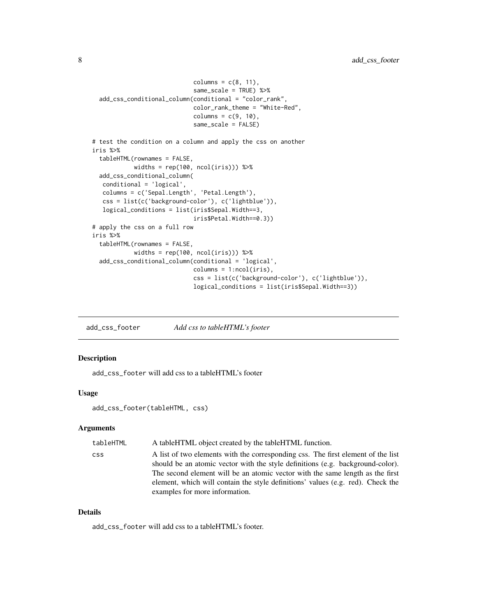```
columns = c(8, 11),same_scale = TRUE) %>%
 add_css_conditional_column(conditional = "color_rank",
                             color_rank_theme = "White-Red",
                             columns = c(9, 10),
                             same_scale = FALSE)
# test the condition on a column and apply the css on another
iris %>%
 tableHTML(rownames = FALSE,
            widths = rep(100, ncol(iris))) %>%
 add_css_conditional_column(
  conditional = 'logical',
  columns = c('Sepal.Length', 'Petal.Length'),
  css = list(c('background-color'), c('lightblue')),
  logical_conditions = list(iris$Sepal.Width==3,
                             iris$Petal.Width==0.3))
# apply the css on a full row
iris %>%
 tableHTML(rownames = FALSE,
            widths = rep(100, ncol(iris))) %>%
 add_css_conditional_column(conditional = 'logical',
                             columns = 1:ncol(iris),
                             css = list(c('background-color'), c('lightblue')),
                             logical_conditions = list(iris$Sepal.Width==3))
```
add\_css\_footer *Add css to tableHTML's footer*

# Description

add\_css\_footer will add css to a tableHTML's footer

#### Usage

```
add_css_footer(tableHTML, css)
```
#### **Arguments**

| tableHTML  | A tableHTML object created by the tableHTML function.                                                                                                                                                                                                                                                                                                                    |
|------------|--------------------------------------------------------------------------------------------------------------------------------------------------------------------------------------------------------------------------------------------------------------------------------------------------------------------------------------------------------------------------|
| <b>CSS</b> | A list of two elements with the corresponding css. The first element of the list<br>should be an atomic vector with the style definitions (e.g. background-color).<br>The second element will be an atomic vector with the same length as the first<br>element, which will contain the style definitions' values (e.g. red). Check the<br>examples for more information. |
|            |                                                                                                                                                                                                                                                                                                                                                                          |

#### Details

add\_css\_footer will add css to a tableHTML's footer.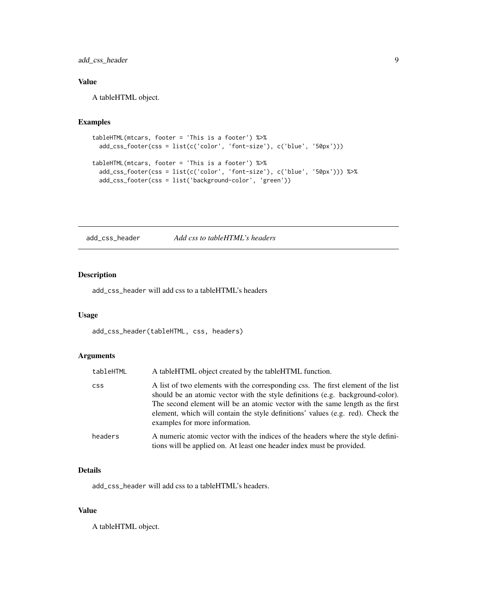# <span id="page-8-0"></span>add\_css\_header 9

# Value

A tableHTML object.

# Examples

```
tableHTML(mtcars, footer = 'This is a footer') %>%
 add_css_footer(css = list(c('color', 'font-size'), c('blue', '50px')))
tableHTML(mtcars, footer = 'This is a footer') %>%
 add_css_footer(css = list(c('color', 'font-size'), c('blue', '50px'))) %>%
 add_css_footer(css = list('background-color', 'green'))
```
add\_css\_header *Add css to tableHTML's headers*

# Description

add\_css\_header will add css to a tableHTML's headers

#### Usage

```
add_css_header(tableHTML, css, headers)
```
# Arguments

| tableHTML  | A tableHTML object created by the tableHTML function.                                                                                                                                                                                                                                                                                                                    |
|------------|--------------------------------------------------------------------------------------------------------------------------------------------------------------------------------------------------------------------------------------------------------------------------------------------------------------------------------------------------------------------------|
| <b>CSS</b> | A list of two elements with the corresponding css. The first element of the list<br>should be an atomic vector with the style definitions (e.g. background-color).<br>The second element will be an atomic vector with the same length as the first<br>element, which will contain the style definitions' values (e.g. red). Check the<br>examples for more information. |
| headers    | A numeric atomic vector with the indices of the headers where the style defini-<br>tions will be applied on. At least one header index must be provided.                                                                                                                                                                                                                 |

# Details

add\_css\_header will add css to a tableHTML's headers.

#### Value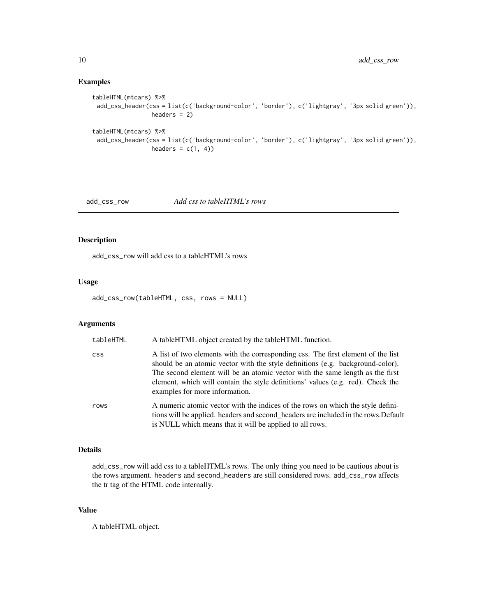#### Examples

```
tableHTML(mtcars) %>%
 add_css_header(css = list(c('background-color', 'border'), c('lightgray', '3px solid green')),
                 headers = 2)
tableHTML(mtcars) %>%
 add_css_header(css = list(c('background-color', 'border'), c('lightgray', '3px solid green')),
                 headers = c(1, 4))
```
add\_css\_row *Add css to tableHTML's rows*

# Description

add\_css\_row will add css to a tableHTML's rows

# Usage

add\_css\_row(tableHTML, css, rows = NULL)

#### Arguments

| tableHTML  | A tableHTML object created by the tableHTML function.                                                                                                                                                                                                                                                                                                                    |
|------------|--------------------------------------------------------------------------------------------------------------------------------------------------------------------------------------------------------------------------------------------------------------------------------------------------------------------------------------------------------------------------|
| <b>CSS</b> | A list of two elements with the corresponding css. The first element of the list<br>should be an atomic vector with the style definitions (e.g. background-color).<br>The second element will be an atomic vector with the same length as the first<br>element, which will contain the style definitions' values (e.g. red). Check the<br>examples for more information. |
| rows       | A numeric atomic vector with the indices of the rows on which the style defini-<br>tions will be applied. headers and second_headers are included in the rows. Default<br>is NULL which means that it will be applied to all rows.                                                                                                                                       |

#### Details

add\_css\_row will add css to a tableHTML's rows. The only thing you need to be cautious about is the rows argument. headers and second\_headers are still considered rows. add\_css\_row affects the tr tag of the HTML code internally.

# Value

<span id="page-9-0"></span>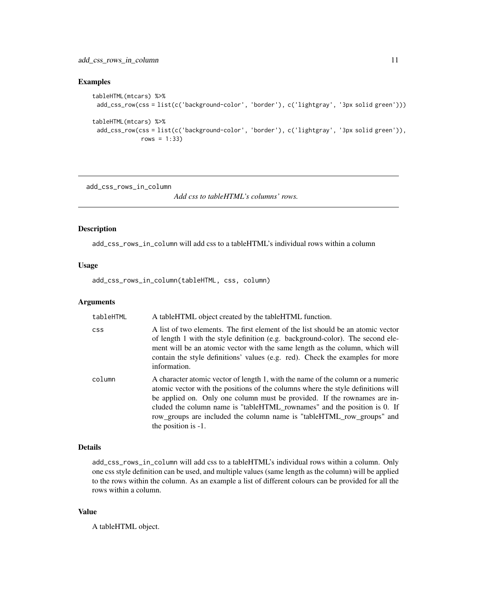# <span id="page-10-0"></span>add\_css\_rows\_in\_column 11

# Examples

```
tableHTML(mtcars) %>%
 add_css_row(css = list(c('background-color', 'border'), c('lightgray', '3px solid green')))
tableHTML(mtcars) %>%
 add_css_row(css = list(c('background-color', 'border'), c('lightgray', '3px solid green')),
              rows = 1:33)
```
add\_css\_rows\_in\_column

*Add css to tableHTML's columns' rows.*

#### Description

add\_css\_rows\_in\_column will add css to a tableHTML's individual rows within a column

# Usage

add\_css\_rows\_in\_column(tableHTML, css, column)

#### Arguments

| tableHTML  | A tableHTML object created by the tableHTML function.                                                                                                                                                                                                                                                                                                                                                                          |
|------------|--------------------------------------------------------------------------------------------------------------------------------------------------------------------------------------------------------------------------------------------------------------------------------------------------------------------------------------------------------------------------------------------------------------------------------|
| <b>CSS</b> | A list of two elements. The first element of the list should be an atomic vector<br>of length 1 with the style definition (e.g. background-color). The second ele-<br>ment will be an atomic vector with the same length as the column, which will<br>contain the style definitions' values (e.g. red). Check the examples for more<br>information.                                                                            |
| column     | A character atomic vector of length 1, with the name of the column or a numeric<br>atomic vector with the positions of the columns where the style definitions will<br>be applied on. Only one column must be provided. If the rownames are in-<br>cluded the column name is "tableHTML_rownames" and the position is 0. If<br>row_groups are included the column name is "tableHTML_row_groups" and<br>the position is $-1$ . |

#### Details

add\_css\_rows\_in\_column will add css to a tableHTML's individual rows within a column. Only one css style definition can be used, and multiple values (same length as the column) will be applied to the rows within the column. As an example a list of different colours can be provided for all the rows within a column.

# Value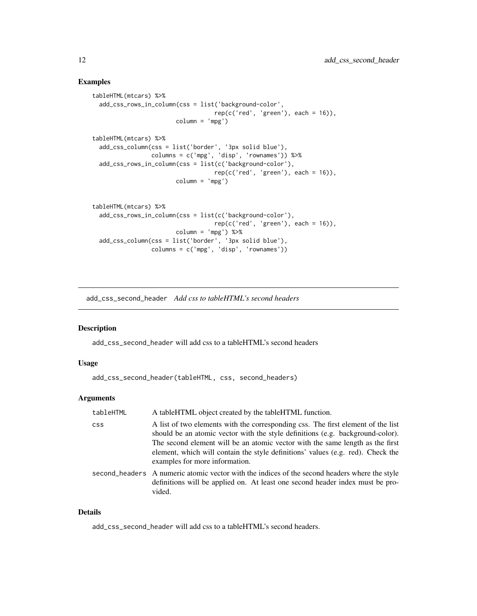#### <span id="page-11-0"></span>Examples

```
tableHTML(mtcars) %>%
  add_css_rows_in_column(css = list('background-color',
                                  rep(c('red', 'green'), each = 16)),column = 'mpg')tableHTML(mtcars) %>%
  add_css_column(css = list('border', '3px solid blue'),
                 columns = c('mpg', 'disp', 'rownames')) %>%
  add_css_rows_in_column(css = list(c('background-color'),
                                  rep(c('red', 'green'), each = 16)),column = 'mpg')tableHTML(mtcars) %>%
  add_css_rows_in_column(css = list(c('background-color'),
                                  rep(c('red', 'green'), each = 16)),column = 'mpg') %>%
  add_css_column(css = list('border', '3px solid blue'),
                 columns = c('mpg', 'disp', 'rownames'))
```
add\_css\_second\_header *Add css to tableHTML's second headers*

#### Description

add\_css\_second\_header will add css to a tableHTML's second headers

#### Usage

```
add_css_second_header(tableHTML, css, second_headers)
```
#### **Arguments**

| tableHTML  | A table HTML object created by the table HTML function.                                                                                                                                                                                                                                                                                                                  |
|------------|--------------------------------------------------------------------------------------------------------------------------------------------------------------------------------------------------------------------------------------------------------------------------------------------------------------------------------------------------------------------------|
| <b>CSS</b> | A list of two elements with the corresponding css. The first element of the list<br>should be an atomic vector with the style definitions (e.g. background-color).<br>The second element will be an atomic vector with the same length as the first<br>element, which will contain the style definitions' values (e.g. red). Check the<br>examples for more information. |
|            | second headers A numeric atomic vector with the indices of the second headers where the style<br>definitions will be applied on. At least one second header index must be pro-<br>vided.                                                                                                                                                                                 |

# Details

add\_css\_second\_header will add css to a tableHTML's second headers.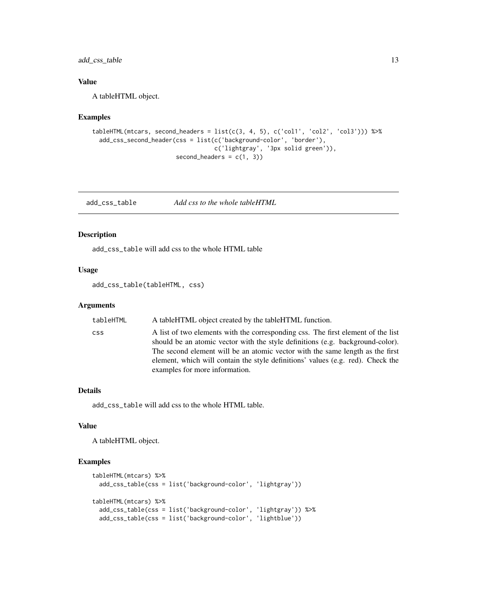<span id="page-12-0"></span>add\_css\_table 13

# Value

A tableHTML object.

#### Examples

```
tableHTML(mtcars, second_headers = list(c(3, 4, 5), c('coll', 'col2', 'col3')) %>%
 add_css_second_header(css = list(c('background-color', 'border'),
                                  c('lightgray', '3px solid green')),
                       second\_heads = c(1, 3)
```
add\_css\_table *Add css to the whole tableHTML*

#### Description

add\_css\_table will add css to the whole HTML table

# Usage

add\_css\_table(tableHTML, css)

#### Arguments

| tableHTML  | A tableHTML object created by the tableHTML function.                                                                                                              |
|------------|--------------------------------------------------------------------------------------------------------------------------------------------------------------------|
| <b>CSS</b> | A list of two elements with the corresponding css. The first element of the list<br>should be an atomic vector with the style definitions (e.g. background-color). |
|            | The second element will be an atomic vector with the same length as the first                                                                                      |
|            | element, which will contain the style definitions' values (e.g. red). Check the<br>examples for more information.                                                  |

## Details

add\_css\_table will add css to the whole HTML table.

# Value

A tableHTML object.

```
tableHTML(mtcars) %>%
 add_css_table(css = list('background-color', 'lightgray'))
tableHTML(mtcars) %>%
  add_css_table(css = list('background-color', 'lightgray')) %>%
  add_css_table(css = list('background-color', 'lightblue'))
```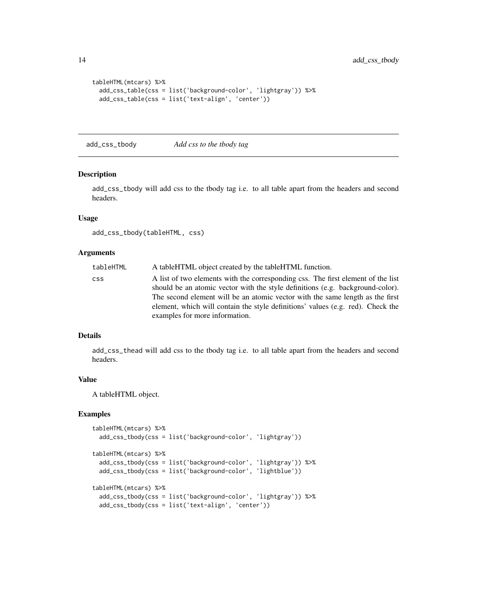```
tableHTML(mtcars) %>%
 add_css_table(css = list('background-color', 'lightgray')) %>%
 add_css_table(css = list('text-align', 'center'))
```
add\_css\_tbody *Add css to the tbody tag*

#### Description

add\_css\_tbody will add css to the tbody tag i.e. to all table apart from the headers and second headers.

# Usage

add\_css\_tbody(tableHTML, css)

# Arguments

| tableHTML | A tableHTML object created by the tableHTML function.                            |
|-----------|----------------------------------------------------------------------------------|
| CSS.      | A list of two elements with the corresponding css. The first element of the list |
|           | should be an atomic vector with the style definitions (e.g. background-color).   |
|           | The second element will be an atomic vector with the same length as the first    |
|           | element, which will contain the style definitions' values (e.g. red). Check the  |
|           | examples for more information.                                                   |

#### Details

add\_css\_thead will add css to the tbody tag i.e. to all table apart from the headers and second headers.

#### Value

A tableHTML object.

```
tableHTML(mtcars) %>%
 add_css_tbody(css = list('background-color', 'lightgray'))
tableHTML(mtcars) %>%
 add_css_tbody(css = list('background-color', 'lightgray')) %>%
 add_css_tbody(css = list('background-color', 'lightblue'))
tableHTML(mtcars) %>%
 add_css_tbody(css = list('background-color', 'lightgray')) %>%
 add_css_tbody(css = list('text-align', 'center'))
```
<span id="page-13-0"></span>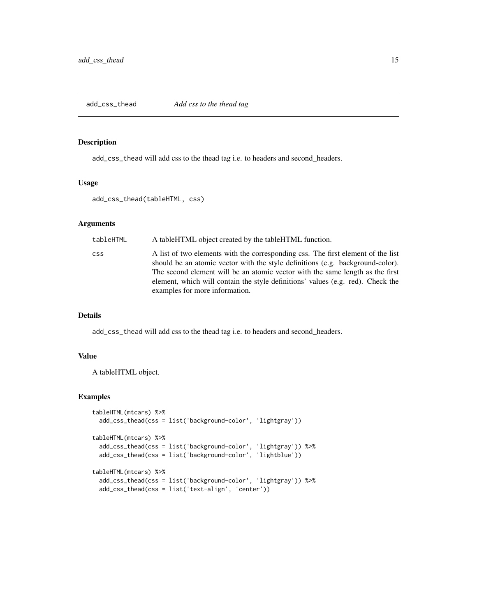### <span id="page-14-0"></span>Description

add\_css\_thead will add css to the thead tag i.e. to headers and second\_headers.

### Usage

```
add_css_thead(tableHTML, css)
```
#### Arguments

| tableHTML  | A tableHTML object created by the tableHTML function.                                                                                                                                                                                                                                                                                                                    |
|------------|--------------------------------------------------------------------------------------------------------------------------------------------------------------------------------------------------------------------------------------------------------------------------------------------------------------------------------------------------------------------------|
| <b>CSS</b> | A list of two elements with the corresponding css. The first element of the list<br>should be an atomic vector with the style definitions (e.g. background-color).<br>The second element will be an atomic vector with the same length as the first<br>element, which will contain the style definitions' values (e.g. red). Check the<br>examples for more information. |

# Details

add\_css\_thead will add css to the thead tag i.e. to headers and second\_headers.

# Value

A tableHTML object.

```
tableHTML(mtcars) %>%
 add_css_thead(css = list('background-color', 'lightgray'))
tableHTML(mtcars) %>%
 add_css_thead(css = list('background-color', 'lightgray')) %>%
 add_css_thead(css = list('background-color', 'lightblue'))
tableHTML(mtcars) %>%
 add_css_thead(css = list('background-color', 'lightgray')) %>%
 add_css_thead(css = list('text-align', 'center'))
```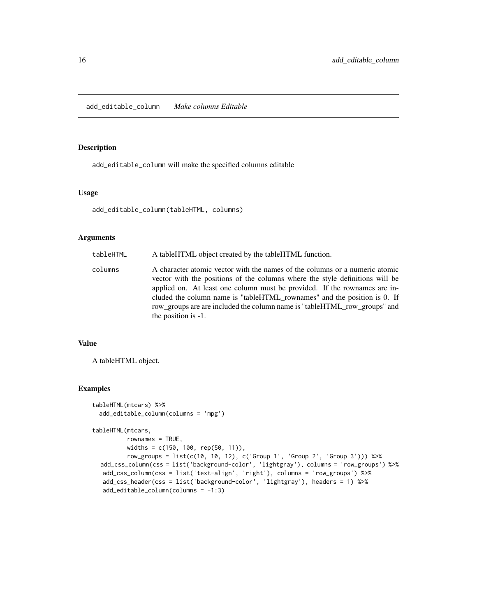<span id="page-15-0"></span>add\_editable\_column *Make columns Editable*

#### Description

add\_editable\_column will make the specified columns editable

### Usage

add\_editable\_column(tableHTML, columns)

# Arguments

| tableHTML | A tableHTML object created by the tableHTML function.                                                                                                                                                                                                                                                                                                                                                                       |
|-----------|-----------------------------------------------------------------------------------------------------------------------------------------------------------------------------------------------------------------------------------------------------------------------------------------------------------------------------------------------------------------------------------------------------------------------------|
| columns   | A character atomic vector with the names of the columns or a numeric atomic<br>vector with the positions of the columns where the style definitions will be<br>applied on. At least one column must be provided. If the rownames are in-<br>cluded the column name is "tableHTML_rownames" and the position is 0. If<br>row_groups are are included the column name is "tableHTML_row_groups" and<br>the position is $-1$ . |
|           |                                                                                                                                                                                                                                                                                                                                                                                                                             |

# Value

A tableHTML object.

#### Examples

```
tableHTML(mtcars) %>%
 add_editable_column(columns = 'mpg')
```
tableHTML(mtcars,

```
rownames = TRUE,
       widths = c(150, 100, rep(50, 11)),
       row_groups = list(c(10, 10, 12), c('Group 1', 'Group 2', 'Group 3'))) %>%
add_css_column(css = list('background-color', 'lightgray'), columns = 'row_groups') %>%
add_css_column(css = list('text-align', 'right'), columns = 'row_groups') %>%
add_css_header(css = list('background-color', 'lightgray'), headers = 1) %>%
add_editable_column(columns = -1:3)
```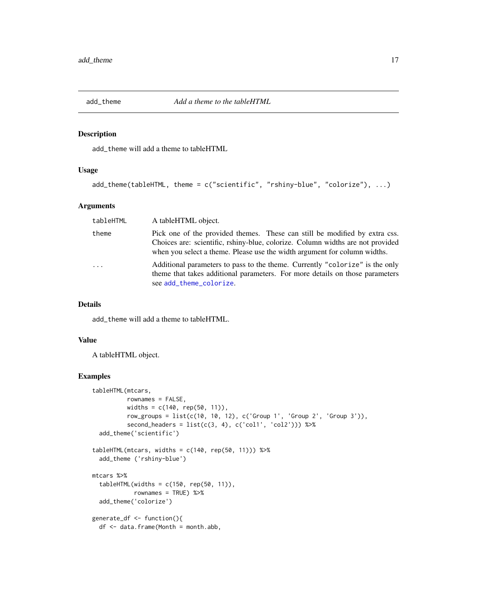<span id="page-16-0"></span>

#### Description

add\_theme will add a theme to tableHTML

#### Usage

```
add_theme(tableHTML, theme = c("scientific", "rshiny-blue", "colorize"), ...)
```
# Arguments

| tableHTML | A tableHTML object.                                                                                                                                                                                                                       |
|-----------|-------------------------------------------------------------------------------------------------------------------------------------------------------------------------------------------------------------------------------------------|
| theme     | Pick one of the provided themes. These can still be modified by extra css.<br>Choices are: scientific, rshiny-blue, colorize. Column widths are not provided<br>when you select a theme. Please use the width argument for column widths. |
| $\cdots$  | Additional parameters to pass to the theme. Currently "colorize" is the only<br>theme that takes additional parameters. For more details on those parameters<br>see add_theme_colorize.                                                   |

# Details

add\_theme will add a theme to tableHTML.

#### Value

A tableHTML object.

```
tableHTML(mtcars,
         rownames = FALSE,
         widths = c(140, rep(50, 11)),
         row_groups = list(c(10, 10, 12), c('Group 1', 'Group 2', 'Group 3')),
         second_headers = list(c(3, 4), c('coll', 'col2')) %>%
  add_theme('scientific')
tableHTML(mtcars, widths = c(140, rep(50, 11))) %>%
  add_theme ('rshiny-blue')
mtcars %>%
  tableHTML(widths = c(150, rep(50, 11)),rownames = TRUE) %>%
  add_theme('colorize')
generate_df <- function(){
  df <- data.frame(Month = month.abb,
```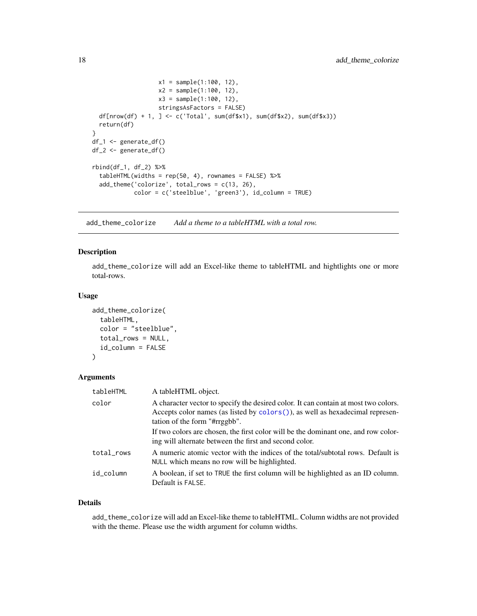```
x1 = sample(1:100, 12),
                   x2 = sample(1:100, 12),
                   x3 = sample(1:100, 12),
                   stringsAsFactors = FALSE)
  df[nrow(df) + 1, ] <- c('Total', sum(df$x1), sum(df$x2), sum(df$x3))
  return(df)
}
df_1 <- generate_df()
df_2 <- generate_df()
rbind(df_1, df_2) %>%
  tableHTML(widths = rep(50, 4), rownames = FALSE) %>%
  add_theme('colorize', total_rows = c(13, 26),
            color = c('steelblue', 'green3'), id_column = TRUE)
```
<span id="page-17-1"></span>add\_theme\_colorize *Add a theme to a tableHTML with a total row.*

# Description

add\_theme\_colorize will add an Excel-like theme to tableHTML and hightlights one or more total-rows.

#### Usage

```
add_theme_colorize(
  tableHTML,
  color = "steelblue",
  total_rows = NULL,
  id_column = FALSE
\lambda
```
# Arguments

| tableHTML  | A tableHTML object.                                                                                                                                                                                   |
|------------|-------------------------------------------------------------------------------------------------------------------------------------------------------------------------------------------------------|
| color      | A character vector to specify the desired color. It can contain at most two colors.<br>Accepts color names (as listed by colors()), as well as hexadecimal represen-<br>tation of the form "#rrggbb". |
|            | If two colors are chosen, the first color will be the dominant one, and row color-<br>ing will alternate between the first and second color.                                                          |
| total_rows | A numeric atomic vector with the indices of the total/subtotal rows. Default is<br>NULL which means no row will be highlighted.                                                                       |
| id column  | A boolean, if set to TRUE the first column will be highlighted as an ID column.<br>Default is FALSE.                                                                                                  |

#### Details

add\_theme\_colorize will add an Excel-like theme to tableHTML. Column widths are not provided with the theme. Please use the width argument for column widths.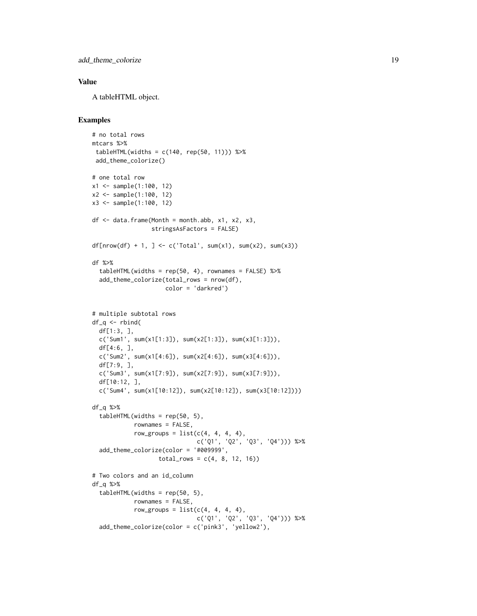add\_theme\_colorize 19

# Value

A tableHTML object.

```
# no total rows
mtcars %>%
 tableHTML(widths = c(140, rep(50, 11))) %>%
 add_theme_colorize()
# one total row
x1 <- sample(1:100, 12)
x2 <- sample(1:100, 12)
x3 <- sample(1:100, 12)
df \leq - data.frame(Month = month.abb, x1, x2, x3,
                 stringsAsFactors = FALSE)
df[nnow(df) + 1, ] \leftarrow c('Total', sum(x1), sum(x2), sum(x3))df %>%
  tableHTML(widths = rep(50, 4), rownames = FALSE) %>%
  add_theme_colorize(total_rows = nrow(df),
                     color = 'darkred')
# multiple subtotal rows
df_q \leftarrow rbind(df[1:3, ],
  c('Sum1', sum(x1[1:3]), sum(x2[1:3]), sum(x3[1:3])),
  df[4:6, ],
  c('Sum2', sum(x1[4:6]), sum(x2[4:6]), sum(x3[4:6])),
  df[7:9, ],
  c('Sum3', sum(x1[7:9]), sum(x2[7:9]), sum(x3[7:9])),
  df[10:12, ],
  c('Sum4', sum(x1[10:12]), sum(x2[10:12]), sum(x3[10:12])))
df_q %>%
  tableHTML(widths = rep(50, 5),rownames = FALSE,
            row_groups = list(c(4, 4, 4, 4),c('Q1', 'Q2', 'Q3', 'Q4'))) %>%
  add_theme_colorize(color = '#009999',
                   total_{rows} = c(4, 8, 12, 16)# Two colors and an id_column
df_q %>%
  tableHTML(widths = rep(50, 5),rownames = FALSE,
            row\_groups = list(c(4, 4, 4, 4),c('Q1', 'Q2', 'Q3', 'Q4'))) %>%
  add_theme_colorize(color = c('pink3', 'yellow2'),
```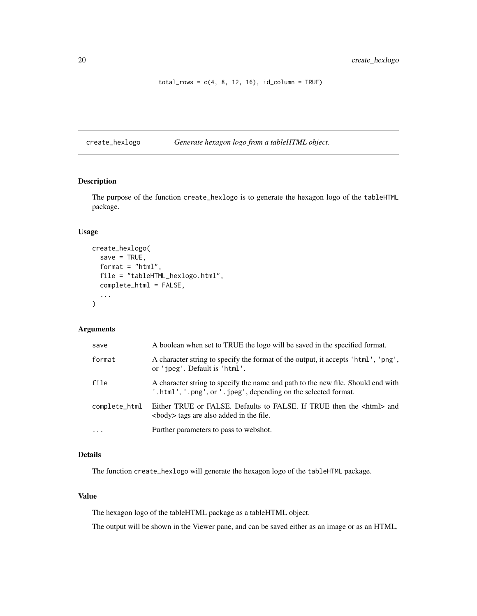<span id="page-19-0"></span> $total_{rows} = c(4, 8, 12, 16), id_{column} = TRUE)$ 

create\_hexlogo *Generate hexagon logo from a tableHTML object.*

#### Description

The purpose of the function create\_hexlogo is to generate the hexagon logo of the tableHTML package.

## Usage

```
create_hexlogo(
  save = TRUE,
  format = "html",
  file = "tableHTML_hexlogo.html",
  complete_html = FALSE,
  ...
\mathcal{L}
```
# Arguments

| save          | A boolean when set to TRUE the logo will be saved in the specified format.                                                                         |
|---------------|----------------------------------------------------------------------------------------------------------------------------------------------------|
| format        | A character string to specify the format of the output, it accepts 'html', 'png',<br>or 'jpeg'. Default is 'html'.                                 |
| file          | A character string to specify the name and path to the new file. Should end with<br>'.html', '.png', or '.jpeg', depending on the selected format. |
| complete_html | Either TRUE or FALSE. Defaults to FALSE. If TRUE then the <html> and<br/><br/>body&gt; tags are also added in the file.</html>                     |
| $\ddots$      | Further parameters to pass to webshot.                                                                                                             |

#### Details

The function create\_hexlogo will generate the hexagon logo of the tableHTML package.

# Value

The hexagon logo of the tableHTML package as a tableHTML object.

The output will be shown in the Viewer pane, and can be saved either as an image or as an HTML.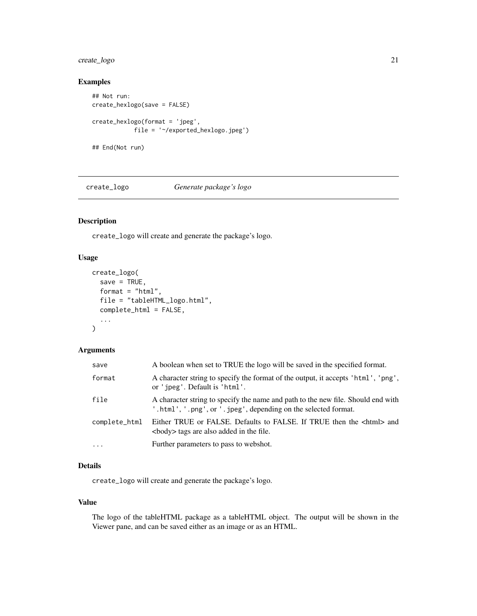# <span id="page-20-0"></span>create\_logo 21

# Examples

```
## Not run:
create_hexlogo(save = FALSE)
create_hexlogo(format = 'jpeg',
            file = '~/exported_hexlogo.jpeg')
## End(Not run)
```
create\_logo *Generate package's logo*

# Description

create\_logo will create and generate the package's logo.

# Usage

```
create_logo(
  save = TRUE,format = "html",
  file = "tableHTML_logo.html",
  complete_html = FALSE,
  ...
)
```
# Arguments

| save          | A boolean when set to TRUE the logo will be saved in the specified format.                                                                        |
|---------------|---------------------------------------------------------------------------------------------------------------------------------------------------|
| format        | A character string to specify the format of the output, it accepts 'html', 'png',<br>or 'ipeg'. Default is 'html'.                                |
| file          | A character string to specify the name and path to the new file. Should end with<br>.html', '.png', or '.jpeg', depending on the selected format. |
| complete_html | Either TRUE or FALSE. Defaults to FALSE. If TRUE then the <html> and<br/><br/>body&gt; tags are also added in the file.</html>                    |
| $\cdots$      | Further parameters to pass to webshot.                                                                                                            |

# Details

create\_logo will create and generate the package's logo.

#### Value

The logo of the tableHTML package as a tableHTML object. The output will be shown in the Viewer pane, and can be saved either as an image or as an HTML.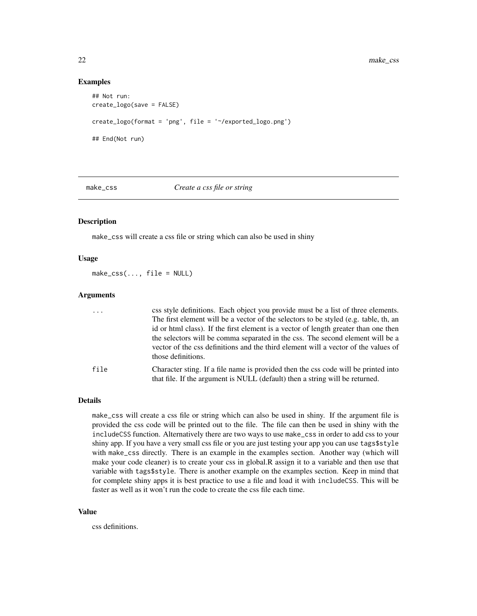#### Examples

```
## Not run:
create_logo(save = FALSE)
create_logo(format = 'png', file = '~/exported_logo.png')
## End(Not run)
```
make\_css *Create a css file or string*

#### Description

make\_css will create a css file or string which can also be used in shiny

#### Usage

 $make\_CSS(..., file = NULL)$ 

#### **Arguments**

| $\cdots$ | css style definitions. Each object you provide must be a list of three elements.     |
|----------|--------------------------------------------------------------------------------------|
|          | The first element will be a vector of the selectors to be styled (e.g. table, th, an |
|          | id or html class). If the first element is a vector of length greater than one then  |
|          | the selectors will be comma separated in the css. The second element will be a       |
|          | vector of the css definitions and the third element will a vector of the values of   |
|          | those definitions.                                                                   |
| file     | Character sting. If a file name is provided then the css code will be printed into   |
|          | that file. If the argument is NULL (default) then a string will be returned.         |

#### Details

make\_css will create a css file or string which can also be used in shiny. If the argument file is provided the css code will be printed out to the file. The file can then be used in shiny with the includeCSS function. Alternatively there are two ways to use make\_css in order to add css to your shiny app. If you have a very small css file or you are just testing your app you can use tags\$style with make\_css directly. There is an example in the examples section. Another way (which will make your code cleaner) is to create your css in global.R assign it to a variable and then use that variable with tags\$style. There is another example on the examples section. Keep in mind that for complete shiny apps it is best practice to use a file and load it with includeCSS. This will be faster as well as it won't run the code to create the css file each time.

#### Value

css definitions.

<span id="page-21-0"></span>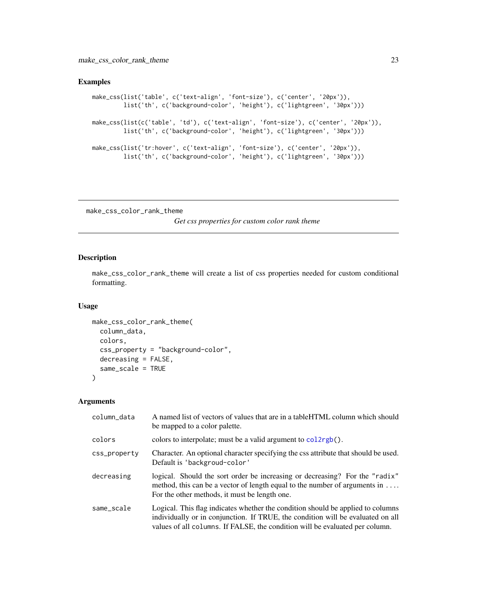# <span id="page-22-0"></span>Examples

```
make_css(list('table', c('text-align', 'font-size'), c('center', '20px')),
        list('th', c('background-color', 'height'), c('lightgreen', '30px')))
make_css(list(c('table', 'td'), c('text-align', 'font-size'), c('center', '20px')),
         list('th', c('background-color', 'height'), c('lightgreen', '30px')))
make_css(list('tr:hover', c('text-align', 'font-size'), c('center', '20px')),
         list('th', c('background-color', 'height'), c('lightgreen', '30px')))
```
make\_css\_color\_rank\_theme

*Get css properties for custom color rank theme*

# Description

make\_css\_color\_rank\_theme will create a list of css properties needed for custom conditional formatting.

#### Usage

```
make_css_color_rank_theme(
 column_data,
  colors,
  css_property = "background-color",
 decreasing = FALSE,
  same_scale = TRUE
\mathcal{L}
```
#### Arguments

| column_data  | A named list of vectors of values that are in a table HTML column which should<br>be mapped to a color palette.                                                                                                                                    |
|--------------|----------------------------------------------------------------------------------------------------------------------------------------------------------------------------------------------------------------------------------------------------|
| colors       | colors to interpolate; must be a valid argument to $col2rgb()$ .                                                                                                                                                                                   |
| css_property | Character. An optional character specifying the css attribute that should be used.<br>Default is 'backgroud-color'                                                                                                                                 |
| decreasing   | logical. Should the sort order be increasing or decreasing? For the "radix"<br>method, this can be a vector of length equal to the number of arguments in $\dots$<br>For the other methods, it must be length one.                                 |
| same_scale   | Logical. This flag indicates whether the condition should be applied to columns<br>individually or in conjunction. If TRUE, the condition will be evaluated on all<br>values of all columns. If FALSE, the condition will be evaluated per column. |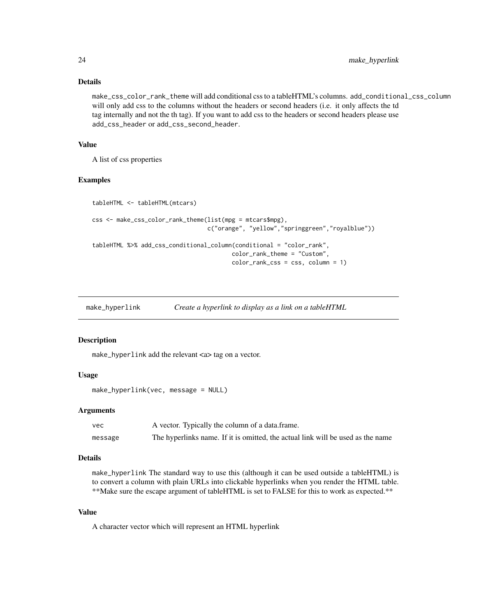#### Details

make\_css\_color\_rank\_theme will add conditional css to a tableHTML's columns. add\_conditional\_css\_column will only add css to the columns without the headers or second headers (i.e. it only affects the td tag internally and not the th tag). If you want to add css to the headers or second headers please use add\_css\_header or add\_css\_second\_header.

# Value

A list of css properties

#### Examples

```
tableHTML <- tableHTML(mtcars)
css <- make_css_color_rank_theme(list(mpg = mtcars$mpg),
                                 c("orange", "yellow","springgreen","royalblue"))
tableHTML %>% add_css_conditional_column(conditional = "color_rank",
                                        color_rank_theme = "Custom",
                                        color_rank_css = css, column = 1)
```
make\_hyperlink *Create a hyperlink to display as a link on a tableHTML*

#### Description

make\_hyperlink add the relevant <a> tag on a vector.

#### Usage

```
make_hyperlink(vec, message = NULL)
```
#### Arguments

| vec     | A vector. Typically the column of a data.frame.                                 |
|---------|---------------------------------------------------------------------------------|
| message | The hyperlinks name. If it is omitted, the actual link will be used as the name |

# Details

make\_hyperlink The standard way to use this (although it can be used outside a tableHTML) is to convert a column with plain URLs into clickable hyperlinks when you render the HTML table. \*\*Make sure the escape argument of tableHTML is set to FALSE for this to work as expected.\*\*

#### Value

A character vector which will represent an HTML hyperlink

<span id="page-23-0"></span>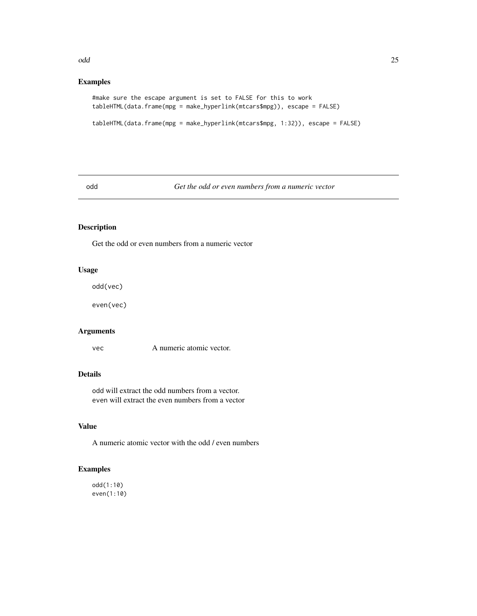#### <span id="page-24-0"></span>odd anno 25 anno 2008. Anno 2008 anno 2008 anno 2008 anno 2008 anno 2008 anno 2008. Anno 2008 anno 2008 anno 20

# Examples

```
#make sure the escape argument is set to FALSE for this to work
tableHTML(data.frame(mpg = make_hyperlink(mtcars$mpg)), escape = FALSE)
```

```
tableHTML(data.frame(mpg = make_hyperlink(mtcars$mpg, 1:32)), escape = FALSE)
```
odd *Get the odd or even numbers from a numeric vector*

# Description

Get the odd or even numbers from a numeric vector

# Usage

odd(vec)

even(vec)

# Arguments

vec A numeric atomic vector.

# Details

odd will extract the odd numbers from a vector. even will extract the even numbers from a vector

# Value

A numeric atomic vector with the odd / even numbers

# Examples

odd(1:10) even(1:10)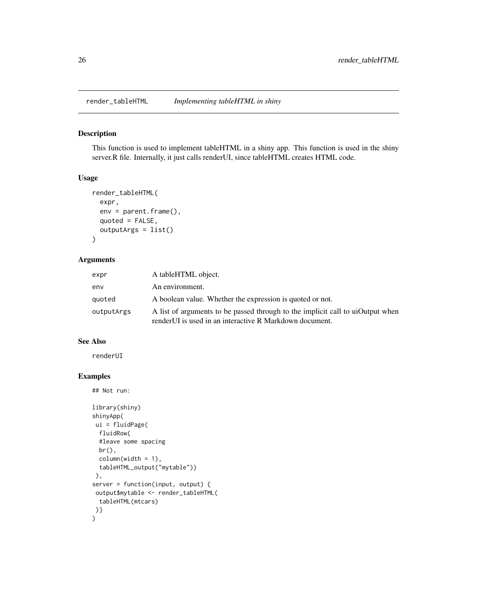<span id="page-25-0"></span>

#### Description

This function is used to implement tableHTML in a shiny app. This function is used in the shiny server.R file. Internally, it just calls renderUI, since tableHTML creates HTML code.

#### Usage

```
render_tableHTML(
  expr,
  env = parent.frame(),
  quoted = FALSE,outputArgs = list()
\mathcal{L}
```
#### Arguments

| expr       | A tableHTML object.                                                                                                                        |
|------------|--------------------------------------------------------------------------------------------------------------------------------------------|
| env        | An environment.                                                                                                                            |
| quoted     | A boolean value. Whether the expression is quoted or not.                                                                                  |
| outputArgs | A list of arguments to be passed through to the implicit call to uiOutput when<br>render UI is used in an interactive R Markdown document. |

#### See Also

renderUI

```
## Not run:
library(shiny)
shinyApp(
ui = fluidPage(
 fluidRow(
  #leave some spacing
  br(),
  column(width = 1),
  tableHTML_output("mytable"))
 ),
server = function(input, output) {
 output$mytable <- render_tableHTML(
  tableHTML(mtcars)
)}
\mathcal{L}
```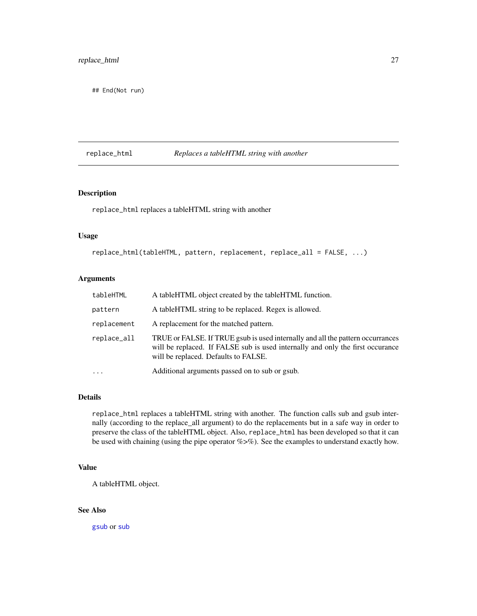<span id="page-26-0"></span>## End(Not run)

# replace\_html *Replaces a tableHTML string with another*

#### Description

replace\_html replaces a tableHTML string with another

### Usage

```
replace_html(tableHTML, pattern, replacement, replace_all = FALSE, ...)
```
# Arguments

| tableHTML   | A tableHTML object created by the tableHTML function.                                                                                                                                                    |
|-------------|----------------------------------------------------------------------------------------------------------------------------------------------------------------------------------------------------------|
| pattern     | A tableHTML string to be replaced. Regex is allowed.                                                                                                                                                     |
| replacement | A replacement for the matched pattern.                                                                                                                                                                   |
| replace_all | TRUE or FALSE. If TRUE gsub is used internally and all the pattern occurrances<br>will be replaced. If FALSE sub is used internally and only the first occurance<br>will be replaced. Defaults to FALSE. |
| $\cdots$    | Additional arguments passed on to sub or gsub.                                                                                                                                                           |

# Details

replace\_html replaces a tableHTML string with another. The function calls sub and gsub internally (according to the replace\_all argument) to do the replacements but in a safe way in order to preserve the class of the tableHTML object. Also, replace\_html has been developed so that it can be used with chaining (using the pipe operator %>%). See the examples to understand exactly how.

## Value

A tableHTML object.

# See Also

[gsub](#page-0-0) or [sub](#page-0-0)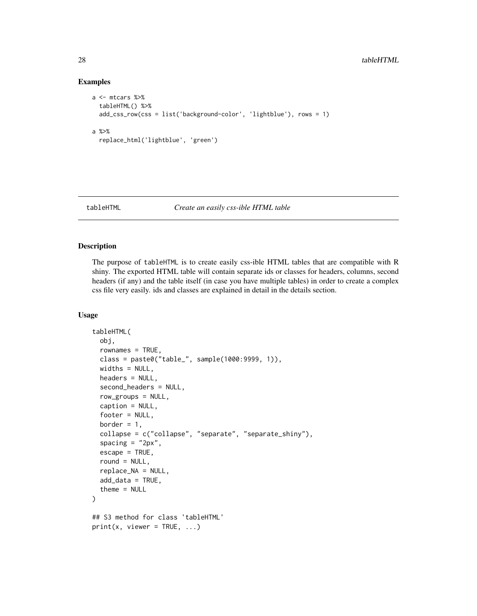# Examples

```
a <- mtcars %>%
 tableHTML() %>%
 add_css_row(css = list('background-color', 'lightblue'), rows = 1)
a %>%
 replace_html('lightblue', 'green')
```
#### tableHTML *Create an easily css-ible HTML table*

#### Description

The purpose of tableHTML is to create easily css-ible HTML tables that are compatible with R shiny. The exported HTML table will contain separate ids or classes for headers, columns, second headers (if any) and the table itself (in case you have multiple tables) in order to create a complex css file very easily. ids and classes are explained in detail in the details section.

#### Usage

```
tableHTML(
  obj,
  rownames = TRUE,
  class = paste0("table_", sample(1000:9999, 1)),
 widths = NULL,
  headers = NULL.
  second_headers = NULL,
  row_groups = NULL,
  caption = NULL,
  footer = NULL,
 border = 1,
  collapse = c("collapse", "separate", "separate_shiny"),
  spacing = "2px",
  escape = TRUE,
  round = NULL,
  replace_NA = NULL,
  add\_data = TRUE,
  thene = NULL)
## S3 method for class 'tableHTML'
print(x, viewer = TRUE, \dots)
```
<span id="page-27-0"></span>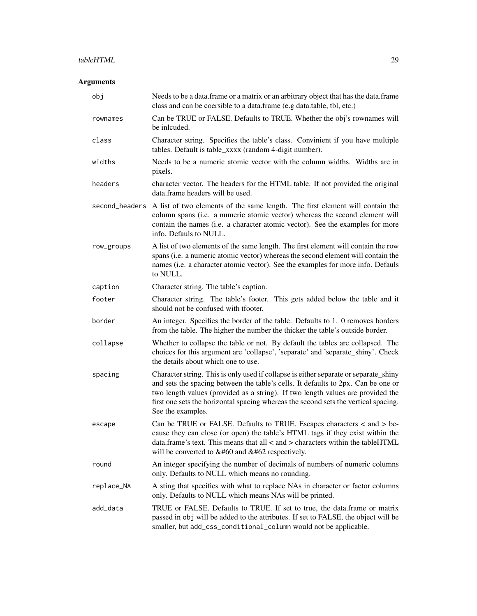# tableHTML 29

# Arguments

| obj        | Needs to be a data. frame or a matrix or an arbitrary object that has the data. frame<br>class and can be coersible to a data.frame (e.g data.table, tbl, etc.)                                                                                                                                                                                                          |
|------------|--------------------------------------------------------------------------------------------------------------------------------------------------------------------------------------------------------------------------------------------------------------------------------------------------------------------------------------------------------------------------|
| rownames   | Can be TRUE or FALSE. Defaults to TRUE. Whether the obj's rownames will<br>be inlouded.                                                                                                                                                                                                                                                                                  |
| class      | Character string. Specifies the table's class. Convinient if you have multiple<br>tables. Default is table_xxxx (random 4-digit number).                                                                                                                                                                                                                                 |
| widths     | Needs to be a numeric atomic vector with the column widths. Widths are in<br>pixels.                                                                                                                                                                                                                                                                                     |
| headers    | character vector. The headers for the HTML table. If not provided the original<br>data.frame headers will be used.                                                                                                                                                                                                                                                       |
|            | second_headers A list of two elements of the same length. The first element will contain the<br>column spans (i.e. a numeric atomic vector) whereas the second element will<br>contain the names (i.e. a character atomic vector). See the examples for more<br>info. Defauls to NULL.                                                                                   |
| row_groups | A list of two elements of the same length. The first element will contain the row<br>spans (i.e. a numeric atomic vector) whereas the second element will contain the<br>names (i.e. a character atomic vector). See the examples for more info. Defauls<br>to NULL.                                                                                                     |
| caption    | Character string. The table's caption.                                                                                                                                                                                                                                                                                                                                   |
| footer     | Character string. The table's footer. This gets added below the table and it<br>should not be confused with tfooter.                                                                                                                                                                                                                                                     |
| border     | An integer. Specifies the border of the table. Defaults to 1. 0 removes borders<br>from the table. The higher the number the thicker the table's outside border.                                                                                                                                                                                                         |
| collapse   | Whether to collapse the table or not. By default the tables are collapsed. The<br>choices for this argument are 'collapse', 'separate' and 'separate_shiny'. Check<br>the details about which one to use.                                                                                                                                                                |
| spacing    | Character string. This is only used if collapse is either separate or separate_shiny<br>and sets the spacing between the table's cells. It defaults to 2px. Can be one or<br>two length values (provided as a string). If two length values are provided the<br>first one sets the horizontal spacing whereas the second sets the vertical spacing.<br>See the examples. |
| escape     | Can be TRUE or FALSE. Defaults to TRUE. Escapes characters $\langle$ and $\rangle$ be-<br>cause they can close (or open) the table's HTML tags if they exist within the<br>data.frame's text. This means that all $\lt$ and $\gt$ characters within the table HTML<br>will be converted to $&\#60$ and $&\#62$ respectively.                                             |
| round      | An integer specifying the number of decimals of numbers of numeric columns<br>only. Defaults to NULL which means no rounding.                                                                                                                                                                                                                                            |
| replace_NA | A sting that specifies with what to replace NAs in character or factor columns<br>only. Defaults to NULL which means NAs will be printed.                                                                                                                                                                                                                                |
| add_data   | TRUE or FALSE. Defaults to TRUE. If set to true, the data.frame or matrix<br>passed in obj will be added to the attributes. If set to FALSE, the object will be<br>smaller, but add_css_conditional_column would not be applicable.                                                                                                                                      |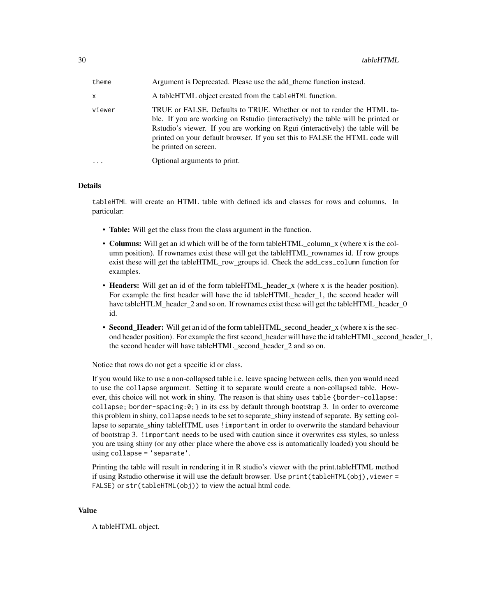| theme  | Argument is Deprecated. Please use the add theme function instead.                                                                                                                                                                                                                                                                                   |
|--------|------------------------------------------------------------------------------------------------------------------------------------------------------------------------------------------------------------------------------------------------------------------------------------------------------------------------------------------------------|
| x      | A tableHTML object created from the tableHTML function.                                                                                                                                                                                                                                                                                              |
| viewer | TRUE or FALSE. Defaults to TRUE. Whether or not to render the HTML ta-<br>ble. If you are working on Rstudio (interactively) the table will be printed or<br>Rstudio's viewer. If you are working on Rgui (interactively) the table will be<br>printed on your default browser. If you set this to FALSE the HTML code will<br>be printed on screen. |
| .      | Optional arguments to print.                                                                                                                                                                                                                                                                                                                         |

# **Details**

tableHTML will create an HTML table with defined ids and classes for rows and columns. In particular:

- Table: Will get the class from the class argument in the function.
- Columns: Will get an id which will be of the form tableHTML\_column\_x (where x is the column position). If rownames exist these will get the tableHTML\_rownames id. If row groups exist these will get the tableHTML row groups id. Check the add\_css\_column function for examples.
- Headers: Will get an id of the form tableHTML\_header\_x (where x is the header position). For example the first header will have the id tableHTML\_header\_1, the second header will have tableHTLM\_header\_2 and so on. If rownames exist these will get the tableHTML\_header\_0 id.
- **Second\_Header:** Will get an id of the form tableHTML\_second\_header\_x (where x is the second header position). For example the first second\_header will have the id tableHTML\_second\_header\_1, the second header will have tableHTML\_second\_header\_2 and so on.

Notice that rows do not get a specific id or class.

If you would like to use a non-collapsed table i.e. leave spacing between cells, then you would need to use the collapse argument. Setting it to separate would create a non-collapsed table. However, this choice will not work in shiny. The reason is that shiny uses table {border-collapse: collapse; border-spacing: $0$ ; in its css by default through bootstrap 3. In order to overcome this problem in shiny, collapse needs to be set to separate\_shiny instead of separate. By setting collapse to separate shiny tableHTML uses ! important in order to overwrite the standard behaviour of bootstrap 3. !important needs to be used with caution since it overwrites css styles, so unless you are using shiny (or any other place where the above css is automatically loaded) you should be using collapse = 'separate'.

Printing the table will result in rendering it in R studio's viewer with the print.tableHTML method if using Rstudio otherwise it will use the default browser. Use  $print(tableHTML(obj),viewer =$ FALSE) or str(tableHTML(obj)) to view the actual html code.

#### Value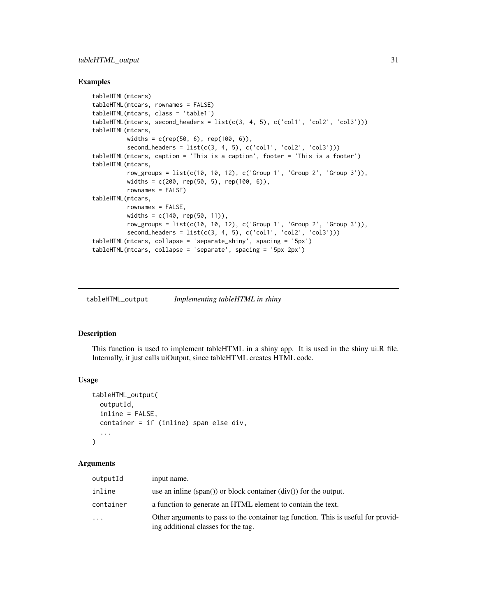# <span id="page-30-0"></span>tableHTML\_output 31

#### Examples

```
tableHTML(mtcars)
tableHTML(mtcars, rownames = FALSE)
tableHTML(mtcars, class = 'table1')
tableHTML(mtcars, second_headers = list(c(3, 4, 5), c('col1', 'col2', 'col3')))
tableHTML(mtcars,
         widths = c(rep(50, 6), rep(100, 6)),second\_heads = list(c(3, 4, 5), c('coll', 'col2', 'col3')))tableHTML(mtcars, caption = 'This is a caption', footer = 'This is a footer')
tableHTML(mtcars,
         row_groups = list(c(10, 10, 12), c('Group 1', 'Group 2', 'Group 3')),
         widths = c(200, rep(50, 5), rep(100, 6)),rownames = FALSE)
tableHTML(mtcars,
         rownames = FALSE,
         widths = c(140, rep(50, 11)),
         row_groups = list(c(10, 10, 12), c('Group 1', 'Group 2', 'Group 3')),
         second\_heads = list(c(3, 4, 5), c('coll', 'col2', 'col3')))tableHTML(mtcars, collapse = 'separate_shiny', spacing = '5px')
tableHTML(mtcars, collapse = 'separate', spacing = '5px 2px')
```
tableHTML\_output *Implementing tableHTML in shiny*

# Description

This function is used to implement tableHTML in a shiny app. It is used in the shiny ui.R file. Internally, it just calls uiOutput, since tableHTML creates HTML code.

# Usage

```
tableHTML_output(
  outputId,
  inline = FALSE,
  container = if (inline) span else div,
  ...
\mathcal{L}
```
#### Arguments

| outputId  | input name.                                                                                                              |
|-----------|--------------------------------------------------------------------------------------------------------------------------|
| inline    | use an inline $(\text{span}))$ or block container $(\text{div}))$ for the output.                                        |
| container | a function to generate an HTML element to contain the text.                                                              |
| .         | Other arguments to pass to the container tag function. This is useful for provid-<br>ing additional classes for the tag. |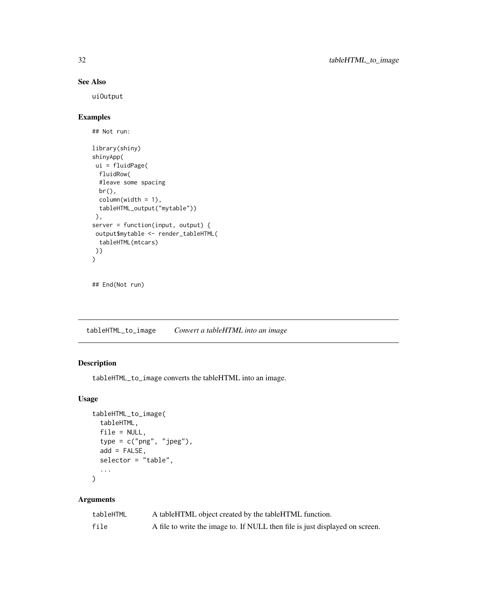# See Also

uiOutput

# Examples

```
## Not run:
library(shiny)
shinyApp(
ui = fluidPage(
 fluidRow(
  #leave some spacing
 br(),
  column(width = 1),
  tableHTML_output("mytable"))
 ),
server = function(input, output) {
 output$mytable <- render_tableHTML(
 tableHTML(mtcars)
)}
\lambda
```

```
## End(Not run)
```
tableHTML\_to\_image *Convert a tableHTML into an image*

# Description

tableHTML\_to\_image converts the tableHTML into an image.

# Usage

```
tableHTML_to_image(
  tableHTML,
  file = NULL,
  type = c("png", "jpeg"),add = FALSE,selector = "table",
  ...
)
```
# Arguments

| tableHTML | A tableHTML object created by the tableHTML function.                        |
|-----------|------------------------------------------------------------------------------|
| file      | A file to write the image to. If NULL then file is just displayed on screen. |

<span id="page-31-0"></span>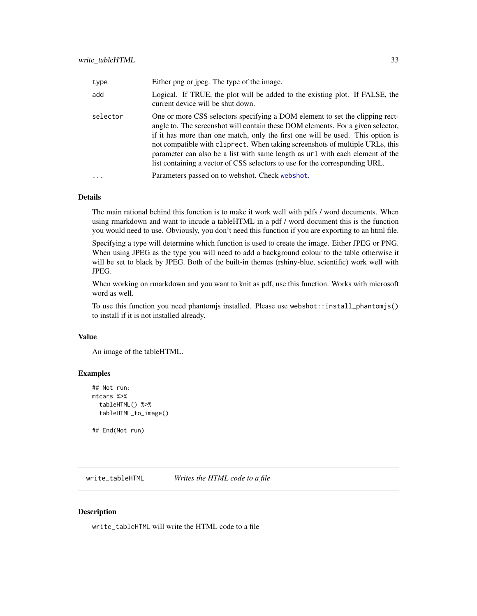<span id="page-32-0"></span>

| type     | Either png or jpeg. The type of the image.                                                                                                                                                                                                                                                                                                                                                                                                                                                        |
|----------|---------------------------------------------------------------------------------------------------------------------------------------------------------------------------------------------------------------------------------------------------------------------------------------------------------------------------------------------------------------------------------------------------------------------------------------------------------------------------------------------------|
| add      | Logical. If TRUE, the plot will be added to the existing plot. If FALSE, the<br>current device will be shut down.                                                                                                                                                                                                                                                                                                                                                                                 |
| selector | One or more CSS selectors specifying a DOM element to set the clipping rect-<br>angle to. The screenshot will contain these DOM elements. For a given selector,<br>if it has more than one match, only the first one will be used. This option is<br>not compatible with cliprect. When taking screenshots of multiple URLs, this<br>parameter can also be a list with same length as url with each element of the<br>list containing a vector of CSS selectors to use for the corresponding URL. |
| $\cdot$  | Parameters passed on to webshot. Check webshot.                                                                                                                                                                                                                                                                                                                                                                                                                                                   |

# Details

The main rational behind this function is to make it work well with pdfs / word documents. When using rmarkdown and want to incude a tableHTML in a pdf / word document this is the function you would need to use. Obviously, you don't need this function if you are exporting to an html file.

Specifying a type will determine which function is used to create the image. Either JPEG or PNG. When using JPEG as the type you will need to add a background colour to the table otherwise it will be set to black by JPEG. Both of the built-in themes (rshiny-blue, scientific) work well with JPEG.

When working on rmarkdown and you want to knit as pdf, use this function. Works with microsoft word as well.

To use this function you need phantomjs installed. Please use webshot::install\_phantomjs() to install if it is not installed already.

#### Value

An image of the tableHTML.

#### Examples

```
## Not run:
mtcars %>%
 tableHTML() %>%
 tableHTML_to_image()
```
## End(Not run)

write\_tableHTML *Writes the HTML code to a file*

#### Description

write\_tableHTML will write the HTML code to a file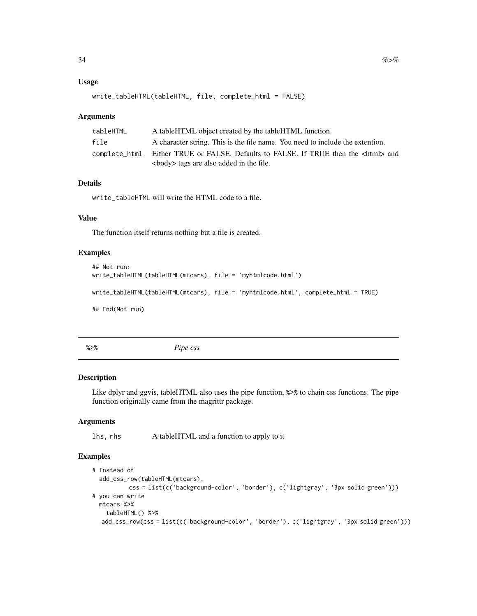#### <span id="page-33-0"></span>Usage

```
write_tableHTML(tableHTML, file, complete_html = FALSE)
```
#### **Arguments**

| tableHTML     | A tableHTML object created by the tableHTML function.                                                                          |
|---------------|--------------------------------------------------------------------------------------------------------------------------------|
| file          | A character string. This is the file name. You need to include the extention.                                                  |
| complete html | Either TRUE or FALSE. Defaults to FALSE. If TRUE then the <html> and<br/><br/>body&gt; tags are also added in the file.</html> |

# Details

write\_tableHTML will write the HTML code to a file.

# Value

The function itself returns nothing but a file is created.

# Examples

```
## Not run:
write_tableHTML(tableHTML(mtcars), file = 'myhtmlcode.html')
write_tableHTML(tableHTML(mtcars), file = 'myhtmlcode.html', complete_html = TRUE)
## End(Not run)
```
%>% *Pipe css*

#### Description

Like dplyr and ggvis, tableHTML also uses the pipe function, %>% to chain css functions. The pipe function originally came from the magrittr package.

#### Arguments

lhs, rhs A tableHTML and a function to apply to it

```
# Instead of
 add_css_row(tableHTML(mtcars),
          css = list(c('background-color', 'border'), c('lightgray', '3px solid green')))
# you can write
 mtcars %>%
   tableHTML() %>%
  add_css_row(css = list(c('background-color', 'border'), c('lightgray', '3px solid green')))
```